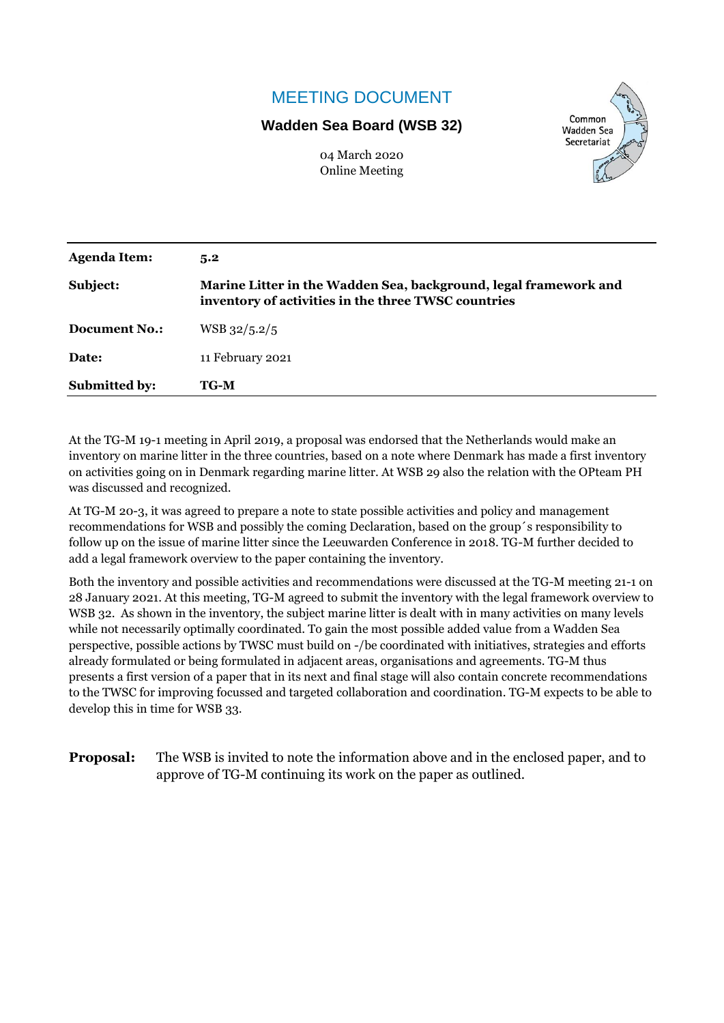# MEETING DOCUMENT

### **Wadden Sea Board (WSB 32)**



04 March 2020 Online Meeting

| <b>Agenda Item:</b>  | 5.2                                                                                                                     |
|----------------------|-------------------------------------------------------------------------------------------------------------------------|
| Subject:             | Marine Litter in the Wadden Sea, background, legal framework and<br>inventory of activities in the three TWSC countries |
| <b>Document No.:</b> | WSB 32/5.2/5                                                                                                            |
| Date:                | 11 February 2021                                                                                                        |
| <b>Submitted by:</b> | TG-M                                                                                                                    |

At the TG-M 19-1 meeting in April 2019, a proposal was endorsed that the Netherlands would make an inventory on marine litter in the three countries, based on a note where Denmark has made a first inventory on activities going on in Denmark regarding marine litter. At WSB 29 also the relation with the OPteam PH was discussed and recognized.

At TG-M 20-3, it was agreed to prepare a note to state possible activities and policy and management recommendations for WSB and possibly the coming Declaration, based on the group´s responsibility to follow up on the issue of marine litter since the Leeuwarden Conference in 2018. TG-M further decided to add a legal framework overview to the paper containing the inventory.

Both the inventory and possible activities and recommendations were discussed at the TG-M meeting 21-1 on 28 January 2021. At this meeting, TG-M agreed to submit the inventory with the legal framework overview to WSB 32. As shown in the inventory, the subject marine litter is dealt with in many activities on many levels while not necessarily optimally coordinated. To gain the most possible added value from a Wadden Sea perspective, possible actions by TWSC must build on -/be coordinated with initiatives, strategies and efforts already formulated or being formulated in adjacent areas, organisations and agreements. TG-M thus presents a first version of a paper that in its next and final stage will also contain concrete recommendations to the TWSC for improving focussed and targeted collaboration and coordination. TG-M expects to be able to develop this in time for WSB 33.

**Proposal:** The WSB is invited to note the information above and in the enclosed paper, and to approve of TG-M continuing its work on the paper as outlined.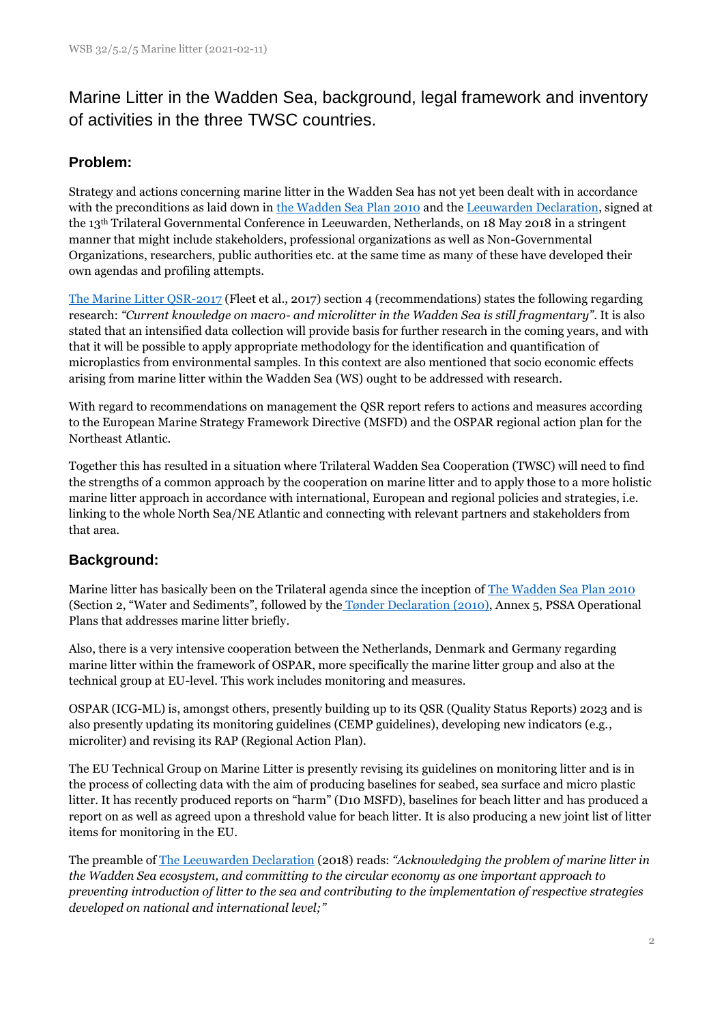# Marine Litter in the Wadden Sea, background, legal framework and inventory of activities in the three TWSC countries.

## **Problem:**

Strategy and actions concerning marine litter in the Wadden Sea has not yet been dealt with in accordance with the preconditions as laid down in [the Wadden Sea](https://www.waddensea-worldheritage.org/resources/2010-wadden-sea-plan) Plan 2010 and the [Leeuwarden Declaration,](https://www.waddensea-worldheritage.org/resources/2018-leeuwarden-declaration) signed at the 13th Trilateral Governmental Conference in Leeuwarden, Netherlands, on 18 May 2018 in a stringent manner that might include stakeholders, professional organizations as well as Non-Governmental Organizations, researchers, public authorities etc. at the same time as many of these have developed their own agendas and profiling attempts.

[The Marine Litter QSR-2017](https://qsr.waddensea-worldheritage.org/reports/marine-litter) (Fleet et al., 2017) section 4 (recommendations) states the following regarding research: *"Current knowledge on macro- and microlitter in the Wadden Sea is still fragmentary"*. It is also stated that an intensified data collection will provide basis for further research in the coming years, and with that it will be possible to apply appropriate methodology for the identification and quantification of microplastics from environmental samples. In this context are also mentioned that socio economic effects arising from marine litter within the Wadden Sea (WS) ought to be addressed with research.

With regard to recommendations on management the QSR report refers to actions and measures according to the European Marine Strategy Framework Directive (MSFD) and the OSPAR regional action plan for the Northeast Atlantic.

Together this has resulted in a situation where Trilateral Wadden Sea Cooperation (TWSC) will need to find the strengths of a common approach by the cooperation on marine litter and to apply those to a more holistic marine litter approach in accordance with international, European and regional policies and strategies, i.e. linking to the whole North Sea/NE Atlantic and connecting with relevant partners and stakeholders from that area.

## **Background:**

Marine litter has basically been on the Trilateral agenda since the inception of [The Wadden Sea](https://www.waddensea-worldheritage.org/resources/2010-wadden-sea-plan) Plan 2010 (Section 2, "Water and Sediments", followed by the [Tønder Declaration](https://www.waddensea-worldheritage.org/resources/2014-t%C3%B8nder-declaration) (2010), Annex 5, PSSA Operational Plans that addresses marine litter briefly.

Also, there is a very intensive cooperation between the Netherlands, Denmark and Germany regarding marine litter within the framework of OSPAR, more specifically the marine litter group and also at the technical group at EU-level. This work includes monitoring and measures.

OSPAR (ICG-ML) is, amongst others, presently building up to its QSR (Quality Status Reports) 2023 and is also presently updating its monitoring guidelines (CEMP guidelines), developing new indicators (e.g., microliter) and revising its RAP (Regional Action Plan).

The EU Technical Group on Marine Litter is presently revising its guidelines on monitoring litter and is in the process of collecting data with the aim of producing baselines for seabed, sea surface and micro plastic litter. It has recently produced reports on "harm" (D10 MSFD), baselines for beach litter and has produced a report on as well as agreed upon a threshold value for beach litter. It is also producing a new joint list of litter items for monitoring in the EU.

The preamble of [The Leeuwarden Declaration](https://www.waddensea-worldheritage.org/resources/2018-leeuwarden-declaration) (2018) reads: *"Acknowledging the problem of marine litter in the Wadden Sea ecosystem, and committing to the circular economy as one important approach to preventing introduction of litter to the sea and contributing to the implementation of respective strategies developed on national and international level;"*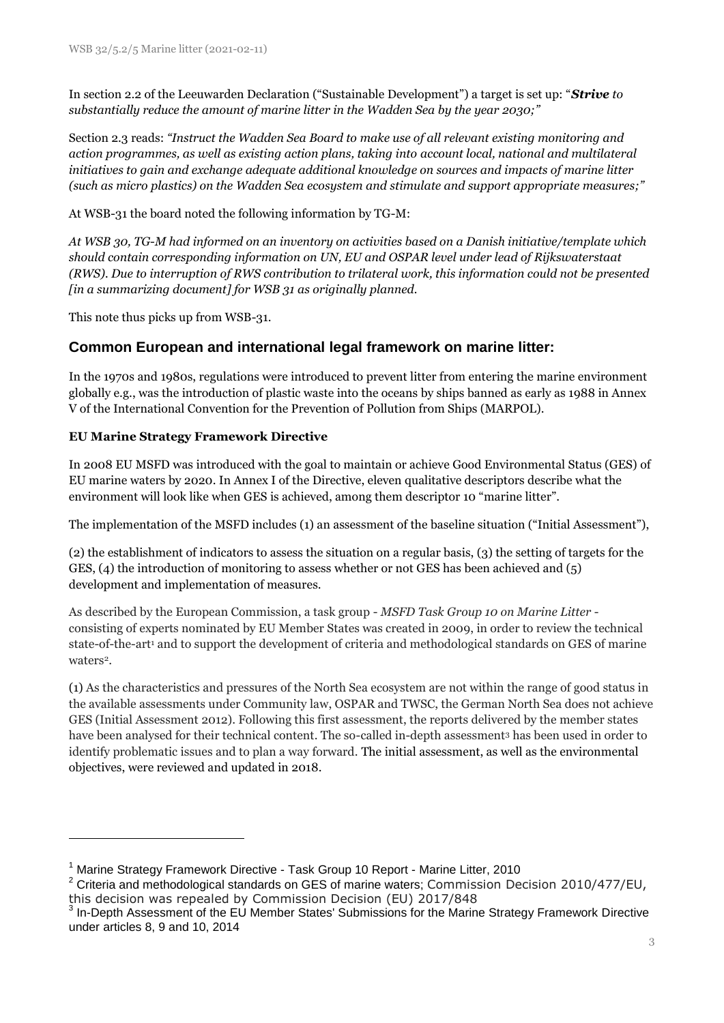In section 2.2 of the Leeuwarden Declaration ("Sustainable Development") a target is set up: "*Strive to substantially reduce the amount of marine litter in the Wadden Sea by the year 2030;"*

Section 2.3 reads: *"Instruct the Wadden Sea Board to make use of all relevant existing monitoring and action programmes, as well as existing action plans, taking into account local, national and multilateral initiatives to gain and exchange adequate additional knowledge on sources and impacts of marine litter (such as micro plastics) on the Wadden Sea ecosystem and stimulate and support appropriate measures;"*

At WSB-31 the board noted the following information by TG-M:

*At WSB 30, TG-M had informed on an inventory on activities based on a Danish initiative/template which should contain corresponding information on UN, EU and OSPAR level under lead of Rijkswaterstaat (RWS). Due to interruption of RWS contribution to trilateral work, this information could not be presented [in a summarizing document] for WSB 31 as originally planned.* 

This note thus picks up from WSB-31.

1

### **Common European and international legal framework on marine litter:**

In the 1970s and 1980s, regulations were introduced to prevent litter from entering the marine environment globally e.g., was the introduction of plastic waste into the oceans by ships banned as early as 1988 in Annex V of the International Convention for the Prevention of Pollution from Ships (MARPOL).

#### **EU Marine Strategy Framework Directive**

In 2008 EU MSFD was introduced with the goal to maintain or achieve Good Environmental Status (GES) of EU marine waters by 2020. In Annex I of the Directive, eleven qualitative descriptors describe what the environment will look like when GES is achieved, among them descriptor 10 "marine litter".

The implementation of the MSFD includes (1) an assessment of the baseline situation ("Initial Assessment"),

(2) the establishment of indicators to assess the situation on a regular basis, (3) the setting of targets for the GES, (4) the introduction of monitoring to assess whether or not GES has been achieved and (5) development and implementation of measures.

As described by the European Commission, a task group - *MSFD Task Group 10 on Marine Litter* consisting of experts nominated by EU Member States was created in 2009, in order to review the technical state-of-the-art<sup>1</sup> and to support the development of criteria and methodological standards on GES of marine waters<sup>2</sup>.

(1) As the characteristics and pressures of the North Sea ecosystem are not within the range of good status in the available assessments under Community law, OSPAR and TWSC, the German North Sea does not achieve GES (Initial Assessment 2012). Following this first assessment, the reports delivered by the member states have been analysed for their technical content. The so-called in-depth assessment<sup>3</sup> has been used in order to identify problematic issues and to plan a way forward. The initial assessment, as well as the environmental objectives, were reviewed and updated in 2018.

<sup>&</sup>lt;sup>1</sup> Marine Strategy Framework Directive - Task Group 10 Report - Marine Litter, 2010

 $2$  Criteria and methodological standards on GES of marine waters; Commission Decision 2010/477/EU, this decision was repealed by Commission Decision (EU) 2017/848

<sup>3</sup> In-Depth Assessment of the EU Member States' Submissions for the Marine Strategy Framework Directive under articles 8, 9 and 10, 2014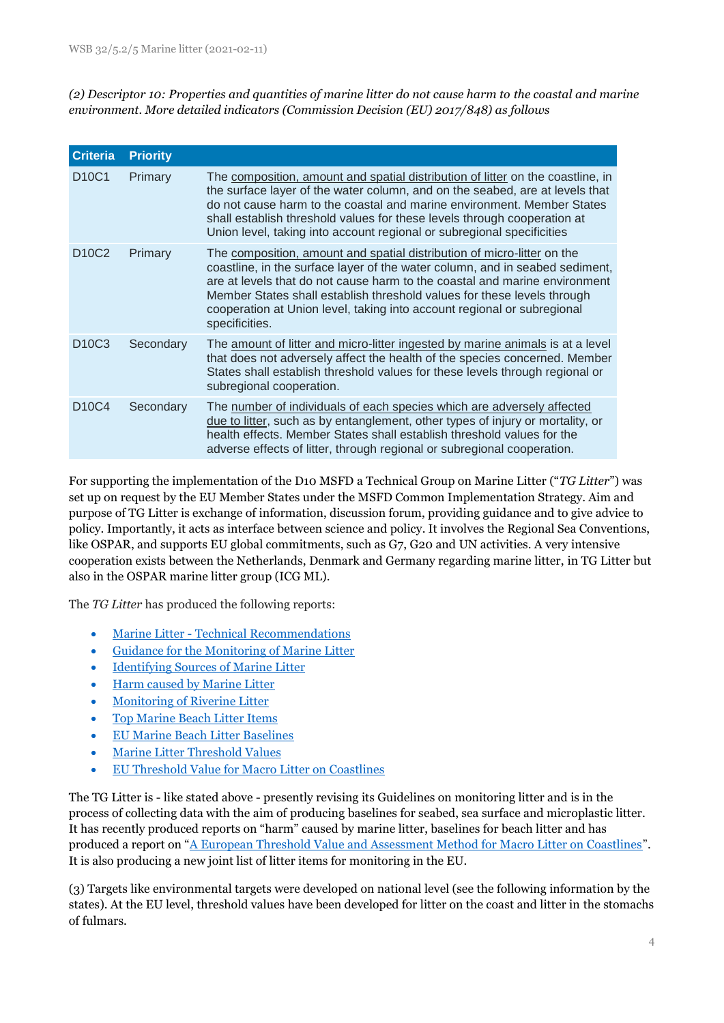*(2) Descriptor 10: Properties and quantities of marine litter do not cause harm to the coastal and marine environment. More detailed indicators (Commission Decision (EU) 2017/848) as follows*

| <b>Criteria</b>                | <b>Priority</b> |                                                                                                                                                                                                                                                                                                                                                                                                               |
|--------------------------------|-----------------|---------------------------------------------------------------------------------------------------------------------------------------------------------------------------------------------------------------------------------------------------------------------------------------------------------------------------------------------------------------------------------------------------------------|
| D <sub>10</sub> C <sub>1</sub> | Primary         | The composition, amount and spatial distribution of litter on the coastline, in<br>the surface layer of the water column, and on the seabed, are at levels that<br>do not cause harm to the coastal and marine environment. Member States<br>shall establish threshold values for these levels through cooperation at<br>Union level, taking into account regional or subregional specificities               |
| D <sub>10</sub> C <sub>2</sub> | Primary         | The composition, amount and spatial distribution of micro-litter on the<br>coastline, in the surface layer of the water column, and in seabed sediment,<br>are at levels that do not cause harm to the coastal and marine environment<br>Member States shall establish threshold values for these levels through<br>cooperation at Union level, taking into account regional or subregional<br>specificities. |
| D <sub>10</sub> C <sub>3</sub> | Secondary       | The amount of litter and micro-litter ingested by marine animals is at a level<br>that does not adversely affect the health of the species concerned. Member<br>States shall establish threshold values for these levels through regional or<br>subregional cooperation.                                                                                                                                      |
| D <sub>10</sub> C <sub>4</sub> | Secondary       | The number of individuals of each species which are adversely affected<br>due to litter, such as by entanglement, other types of injury or mortality, or<br>health effects. Member States shall establish threshold values for the<br>adverse effects of litter, through regional or subregional cooperation.                                                                                                 |

For supporting the implementation of the D10 MSFD a Technical Group on Marine Litter ("*TG Litter*") was set up on request by the EU Member States under the MSFD Common Implementation Strategy. Aim and purpose of TG Litter is exchange of information, discussion forum, providing guidance and to give advice to policy. Importantly, it acts as interface between science and policy. It involves the Regional Sea Conventions, like OSPAR, and supports EU global commitments, such as G7, G20 and UN activities. A very intensive cooperation exists between the Netherlands, Denmark and Germany regarding marine litter, in TG Litter but also in the OSPAR marine litter group (ICG ML).

The *TG Litter* has produced the following reports:

- Marine Litter [Technical Recommendations](https://mcc.jrc.ec.europa.eu/main/dev.py?N=41&O=438&titre_chap=TG%20Litter&titre_page=Marine%20Litter%20-%20Technical%20Recommendations)
- [Guidance for the Monitoring of Marine Litter](https://mcc.jrc.ec.europa.eu/main/dev.py?N=41&O=439&titre_chap=TG%20Litter&titre_page=Guidance%20for%20the%20Monitoring%20of%20Marine%20Litter)
- [Identifying Sources of Marine Litter](https://mcc.jrc.ec.europa.eu/main/dev.py?N=41&O=436&titre_chap=TG%20Litter&titre_page=Identifying%20Sources%20of%20Marine%20Litter)
- [Harm caused by Marine Litter](https://mcc.jrc.ec.europa.eu/main/dev.py?N=41&O=437&titre_chap=TG%20Litter&titre_page=Harm%20caused%20by%20Marine%20Litter)
- [Monitoring of Riverine Litter](https://mcc.jrc.ec.europa.eu/main/dev.py?N=41&O=440&titre_chap=TG%20Litter&titre_page=Monitoring%20of%20Riverine%20Litter)
- [Top Marine Beach Litter Items](https://mcc.jrc.ec.europa.eu/main/dev.py?N=41&O=441&titre_chap=TG%20Litter&titre_page=Top%20Marine%20Beach%20Litter%20Items)
- [EU Marine Beach Litter Baselines](https://mcc.jrc.ec.europa.eu/main/dev.py?N=41&O=452&titre_chap=TG%20Litter&titre_page=EU%20Marine%20Beach%20Litter%20Baselines)
- [Marine Litter Threshold Values](https://mcc.jrc.ec.europa.eu/main/dev.py?N=41&O=453&titre_chap=TG%20Litter&titre_page=Marine%20Litter%20Threshold%20Values)
- [EU Threshold Value for Macro Litter on Coastlines](https://mcc.jrc.ec.europa.eu/main/dev.py?N=41&O=454&titre_chap=TG%20Litter&titre_page=EU%20Threshold%20Value%20for%20Macro%20Litter%20on%20Coastlines)

The TG Litter is - like stated above - presently revising its Guidelines on monitoring litter and is in the process of collecting data with the aim of producing baselines for seabed, sea surface and microplastic litter. It has recently produced reports on "harm" caused by marine litter, baselines for beach litter and has produced a report on "[A European Threshold Value and Assessment Method for Macro Litter on Coastlines](https://publications.jrc.ec.europa.eu/repository/bitstream/JRC121707/coastline_litter_threshold_value_report_14_9_2020_final.pdf)". It is also producing a new joint list of litter items for monitoring in the EU.

(3) Targets like environmental targets were developed on national level (see the following information by the states). At the EU level, threshold values have been developed for litter on the coast and litter in the stomachs of fulmars.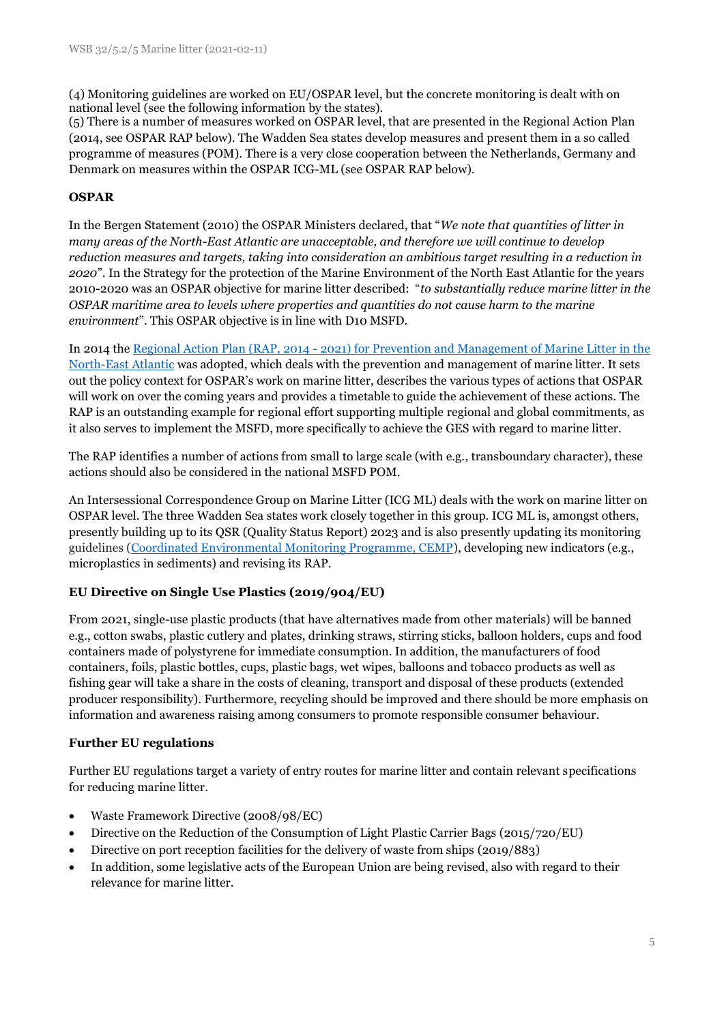(4) Monitoring guidelines are worked on EU/OSPAR level, but the concrete monitoring is dealt with on national level (see the following information by the states).

(5) There is a number of measures worked on OSPAR level, that are presented in the Regional Action Plan (2014, see OSPAR RAP below). The Wadden Sea states develop measures and present them in a so called programme of measures (POM). There is a very close cooperation between the Netherlands, Germany and Denmark on measures within the OSPAR ICG-ML (see OSPAR RAP below).

#### **OSPAR**

In the Bergen Statement (2010) the OSPAR Ministers declared, that "*We note that quantities of litter in many areas of the North-East Atlantic are unacceptable, and therefore we will continue to develop reduction measures and targets, taking into consideration an ambitious target resulting in a reduction in 2020*". In the Strategy for the protection of the Marine Environment of the North East Atlantic for the years 2010-2020 was an OSPAR objective for marine litter described: "*to substantially reduce marine litter in the OSPAR maritime area to levels where properties and quantities do not cause harm to the marine environment*". This OSPAR objective is in line with D10 MSFD.

In 2014 the Regional Action Plan (RAP, 2014 - [2021\) for Prevention and Management of Marine Litter in the](https://www.ospar.org/work-areas/eiha/marine-litter/regional-action-plan)  [North-East Atlantic](https://www.ospar.org/work-areas/eiha/marine-litter/regional-action-plan) was adopted, which deals with the prevention and management of marine litter. It sets out the policy context for OSPAR's work on marine litter, describes the various types of actions that OSPAR will work on over the coming years and provides a timetable to guide the achievement of these actions. The RAP is an outstanding example for regional effort supporting multiple regional and global commitments, as it also serves to implement the MSFD, more specifically to achieve the GES with regard to marine litter.

The RAP identifies a number of actions from small to large scale (with e.g., transboundary character), these actions should also be considered in the national MSFD POM.

An Intersessional Correspondence Group on Marine Litter (ICG ML) deals with the work on marine litter on OSPAR level. The three Wadden Sea states work closely together in this group. ICG ML is, amongst others, presently building up to its QSR (Quality Status Report) 2023 and is also presently updating its monitoring guidelines [\(Coordinated Environmental Monitoring Programme, CEMP\)](https://oap.ospar.org/en/ospar-monitoring-programmes/cemp/), developing new indicators (e.g., microplastics in sediments) and revising its RAP.

#### **EU Directive on Single Use Plastics (2019/904/EU)**

From 2021, single-use plastic products (that have alternatives made from other materials) will be banned e.g., cotton swabs, plastic cutlery and plates, drinking straws, stirring sticks, balloon holders, cups and food containers made of polystyrene for immediate consumption. In addition, the manufacturers of food containers, foils, plastic bottles, cups, plastic bags, wet wipes, balloons and tobacco products as well as fishing gear will take a share in the costs of cleaning, transport and disposal of these products (extended producer responsibility). Furthermore, recycling should be improved and there should be more emphasis on information and awareness raising among consumers to promote responsible consumer behaviour.

#### **Further EU regulations**

Further EU regulations target a variety of entry routes for marine litter and contain relevant specifications for reducing marine litter.

- Waste Framework Directive (2008/98/EC)
- Directive on the Reduction of the Consumption of Light Plastic Carrier Bags (2015/720/EU)
- Directive on port reception facilities for the delivery of waste from ships (2019/883)
- In addition, some legislative acts of the European Union are being revised, also with regard to their relevance for marine litter.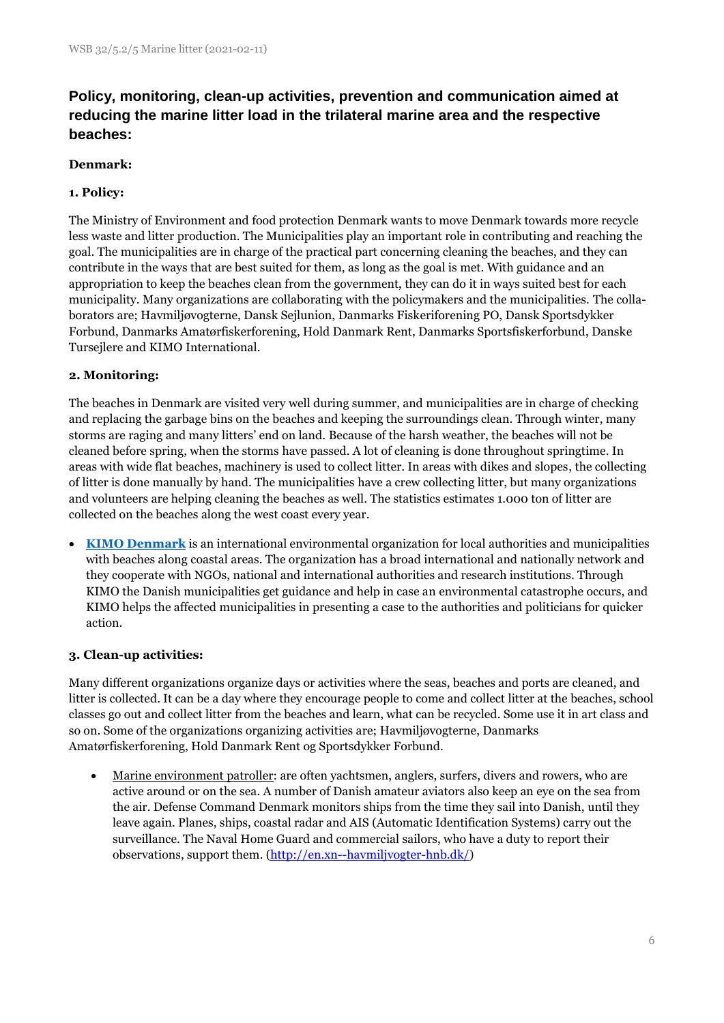## **Policy, monitoring, clean-up activities, prevention and communication aimed at reducing the marine litter load in the trilateral marine area and the respective beaches:**

#### **Denmark:**

#### **1. Policy:**

The Ministry of Environment and food protection Denmark wants to move Denmark towards more recycle less waste and litter production. The Municipalities play an important role in contributing and reaching the goal. The municipalities are in charge of the practical part concerning cleaning the beaches, and they can contribute in the ways that are best suited for them, as long as the goal is met. With guidance and an appropriation to keep the beaches clean from the government, they can do it in ways suited best for each municipality. Many organizations are collaborating with the policymakers and the municipalities. The collaborators are; Havmiljøvogterne, Dansk Sejlunion, Danmarks Fiskeriforening PO, Dansk Sportsdykker Forbund, Danmarks Amatørfiskerforening, Hold Danmark Rent, Danmarks Sportsfiskerforbund, Danske Tursejlere and KIMO International.

#### **2. Monitoring:**

The beaches in Denmark are visited very well during summer, and municipalities are in charge of checking and replacing the garbage bins on the beaches and keeping the surroundings clean. Through winter, many storms are raging and many litters' end on land. Because of the harsh weather, the beaches will not be cleaned before spring, when the storms have passed. A lot of cleaning is done throughout springtime. In areas with wide flat beaches, machinery is used to collect litter. In areas with dikes and slopes, the collecting of litter is done manually by hand. The municipalities have a crew collecting litter, but many organizations and volunteers are helping cleaning the beaches as well. The statistics estimates 1.000 ton of litter are collected on the beaches along the west coast every year.

 **[KIMO Denmark](https://www.kimointernational.org/action-areas/plastic-pollution-and-marine-litter/)** is an international environmental organization for local authorities and municipalities with beaches along coastal areas. The organization has a broad international and nationally network and they cooperate with NGOs, national and international authorities and research institutions. Through KIMO the Danish municipalities get guidance and help in case an environmental catastrophe occurs, and KIMO helps the affected municipalities in presenting a case to the authorities and politicians for quicker action.

#### **3. Clean-up activities:**

Many different organizations organize days or activities where the seas, beaches and ports are cleaned, and litter is collected. It can be a day where they encourage people to come and collect litter at the beaches, school classes go out and collect litter from the beaches and learn, what can be recycled. Some use it in art class and so on. Some of the organizations organizing activities are; Havmiljøvogterne, Danmarks Amatørfiskerforening, Hold Danmark Rent og Sportsdykker Forbund.

 Marine environment patroller: are often yachtsmen, anglers, surfers, divers and rowers, who are active around or on the sea. A number of Danish amateur aviators also keep an eye on the sea from the air. Defense Command Denmark monitors ships from the time they sail into Danish, until they leave again. Planes, ships, coastal radar and AIS (Automatic Identification Systems) carry out the surveillance. The Naval Home Guard and commercial sailors, who have a duty to report their observations, support them. [\(http://en.xn--havmiljvogter-hnb.dk/\)](http://en.havmiljøvogter.dk/)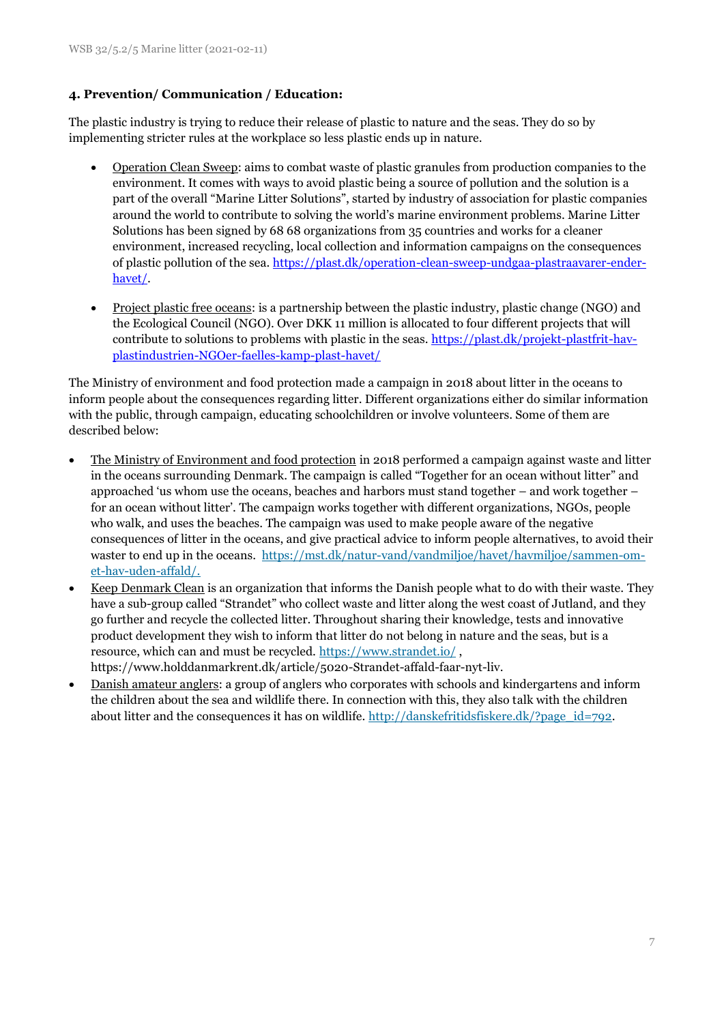#### **4. Prevention/ Communication / Education:**

The plastic industry is trying to reduce their release of plastic to nature and the seas. They do so by implementing stricter rules at the workplace so less plastic ends up in nature.

- Operation Clean Sweep: aims to combat waste of plastic granules from production companies to the environment. It comes with ways to avoid plastic being a source of pollution and the solution is a part of the overall "Marine Litter Solutions", started by industry of association for plastic companies around the world to contribute to solving the world's marine environment problems. Marine Litter Solutions has been signed by 68 68 organizations from 35 countries and works for a cleaner environment, increased recycling, local collection and information campaigns on the consequences of plastic pollution of the sea. [https://plast.dk/operation-clean-sweep-undgaa-plastraavarer-ender](https://plast.dk/operation-clean-sweep-undgaa-plastraavarer-ender-havet/)[havet/.](https://plast.dk/operation-clean-sweep-undgaa-plastraavarer-ender-havet/)
- Project plastic free oceans: is a partnership between the plastic industry, plastic change (NGO) and the Ecological Council (NGO). Over DKK 11 million is allocated to four different projects that will contribute to solutions to problems with plastic in the seas. [https://plast.dk/projekt-plastfrit-hav](https://plast.dk/projekt-plastfrit-hav-plastindustrien-ngoer-faelles-kamp-plast-havet/)[plastindustrien-NGOer-faelles-kamp-plast-havet/](https://plast.dk/projekt-plastfrit-hav-plastindustrien-ngoer-faelles-kamp-plast-havet/)

The Ministry of environment and food protection made a campaign in 2018 about litter in the oceans to inform people about the consequences regarding litter. Different organizations either do similar information with the public, through campaign, educating schoolchildren or involve volunteers. Some of them are described below:

- The Ministry of Environment and food protection in 2018 performed a campaign against waste and litter in the oceans surrounding Denmark. The campaign is called "Together for an ocean without litter" and approached 'us whom use the oceans, beaches and harbors must stand together – and work together – for an ocean without litter'. The campaign works together with different organizations, NGOs, people who walk, and uses the beaches. The campaign was used to make people aware of the negative consequences of litter in the oceans, and give practical advice to inform people alternatives, to avoid their waster to end up in the oceans. [https://mst.dk/natur-vand/vandmiljoe/havet/havmiljoe/sammen-om](https://mst.dk/natur-vand/vandmiljoe/havet/havmiljoe/sammen-om-et-hav-uden-affald/)[et-hav-uden-affald/.](https://mst.dk/natur-vand/vandmiljoe/havet/havmiljoe/sammen-om-et-hav-uden-affald/)
- Keep Denmark Clean is an organization that informs the Danish people what to do with their waste. They have a sub-group called "Strandet" who collect waste and litter along the west coast of Jutland, and they go further and recycle the collected litter. Throughout sharing their knowledge, tests and innovative product development they wish to inform that litter do not belong in nature and the seas, but is a resource, which can and must be recycled.<https://www.strandet.io/> , [https://www.holddanmarkrent.dk/article/5020-Strandet-affald-faar-nyt-liv.](https://www.holddanmarkrent.dk/article/5020-Strandet-affald-faar-nyt-liv)
- Danish amateur anglers: a group of anglers who corporates with schools and kindergartens and inform the children about the sea and wildlife there. In connection with this, they also talk with the children about litter and the consequences it has on wildlife. [http://danskefritidsfiskere.dk/?page\\_id=792.](http://danskefritidsfiskere.dk/?page_id=792)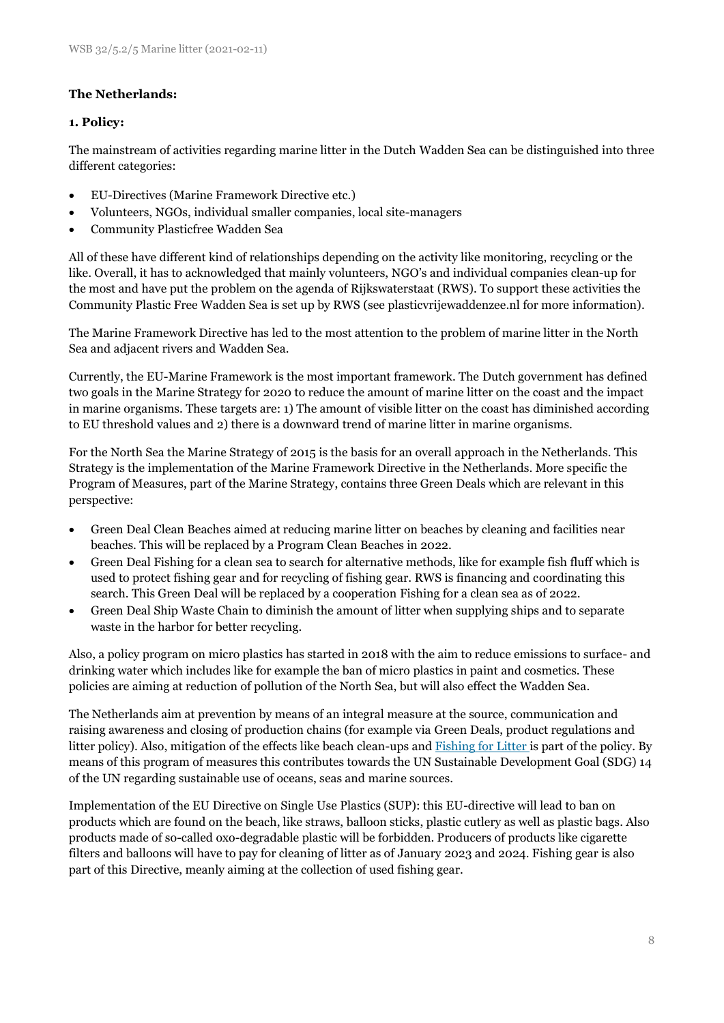#### **The Netherlands:**

#### **1. Policy:**

The mainstream of activities regarding marine litter in the Dutch Wadden Sea can be distinguished into three different categories:

- EU-Directives (Marine Framework Directive etc.)
- Volunteers, NGOs, individual smaller companies, local site-managers
- Community Plasticfree Wadden Sea

All of these have different kind of relationships depending on the activity like monitoring, recycling or the like. Overall, it has to acknowledged that mainly volunteers, NGO's and individual companies clean-up for the most and have put the problem on the agenda of Rijkswaterstaat (RWS). To support these activities the Community Plastic Free Wadden Sea is set up by RWS (see plasticvrijewaddenzee.nl for more information).

The Marine Framework Directive has led to the most attention to the problem of marine litter in the North Sea and adjacent rivers and Wadden Sea.

Currently, the EU-Marine Framework is the most important framework. The Dutch government has defined two goals in the Marine Strategy for 2020 to reduce the amount of marine litter on the coast and the impact in marine organisms. These targets are: 1) The amount of visible litter on the coast has diminished according to EU threshold values and 2) there is a downward trend of marine litter in marine organisms.

For the North Sea the Marine Strategy of 2015 is the basis for an overall approach in the Netherlands. This Strategy is the implementation of the Marine Framework Directive in the Netherlands. More specific the Program of Measures, part of the Marine Strategy, contains three Green Deals which are relevant in this perspective:

- Green Deal Clean Beaches aimed at reducing marine litter on beaches by cleaning and facilities near beaches. This will be replaced by a Program Clean Beaches in 2022.
- Green Deal Fishing for a clean sea to search for alternative methods, like for example fish fluff which is used to protect fishing gear and for recycling of fishing gear. RWS is financing and coordinating this search. This Green Deal will be replaced by a cooperation Fishing for a clean sea as of 2022.
- Green Deal Ship Waste Chain to diminish the amount of litter when supplying ships and to separate waste in the harbor for better recycling.

Also, a policy program on micro plastics has started in 2018 with the aim to reduce emissions to surface- and drinking water which includes like for example the ban of micro plastics in paint and cosmetics. These policies are aiming at reduction of pollution of the North Sea, but will also effect the Wadden Sea.

The Netherlands aim at prevention by means of an integral measure at the source, communication and raising awareness and closing of production chains (for example via Green Deals, product regulations and litter policy). Also, mitigation of the effects like beach clean-ups and [Fishing for Litter i](http://www.kimonederlandbelgie.org/fishing-for-litter/)s part of the policy. By means of this program of measures this contributes towards the UN Sustainable Development Goal (SDG) 14 of the UN regarding sustainable use of oceans, seas and marine sources.

Implementation of the EU Directive on Single Use Plastics (SUP): this EU-directive will lead to ban on products which are found on the beach, like straws, balloon sticks, plastic cutlery as well as plastic bags. Also products made of so-called oxo-degradable plastic will be forbidden. Producers of products like cigarette filters and balloons will have to pay for cleaning of litter as of January 2023 and 2024. Fishing gear is also part of this Directive, meanly aiming at the collection of used fishing gear.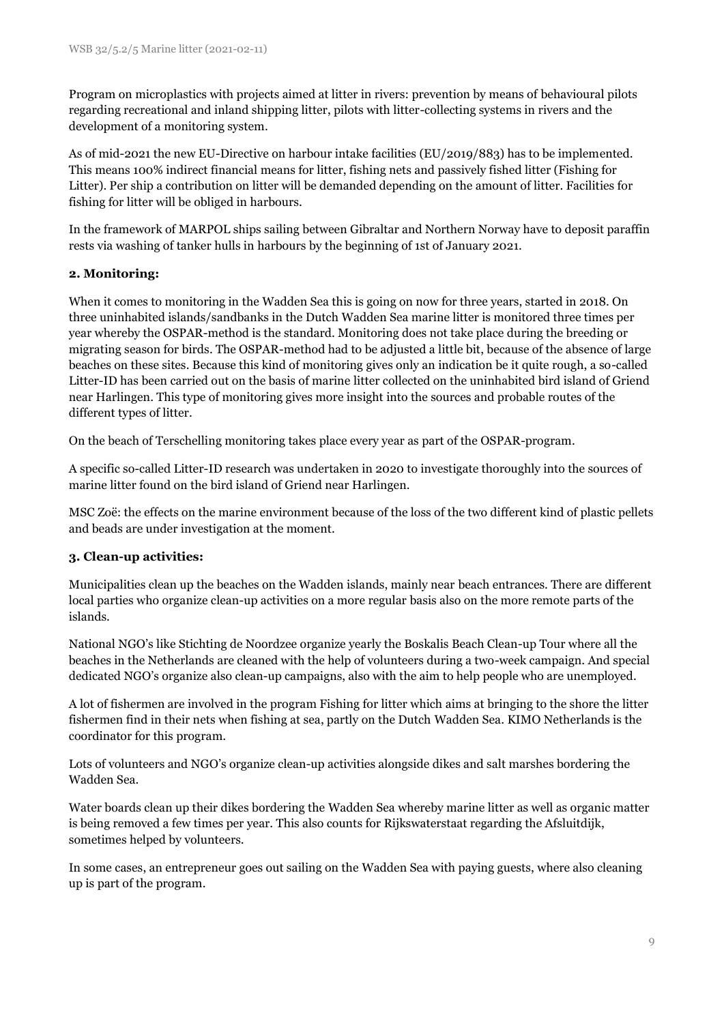Program on microplastics with projects aimed at litter in rivers: prevention by means of behavioural pilots regarding recreational and inland shipping litter, pilots with litter-collecting systems in rivers and the development of a monitoring system.

As of mid-2021 the new EU-Directive on harbour intake facilities (EU/2019/883) has to be implemented. This means 100% indirect financial means for litter, fishing nets and passively fished litter (Fishing for Litter). Per ship a contribution on litter will be demanded depending on the amount of litter. Facilities for fishing for litter will be obliged in harbours.

In the framework of MARPOL ships sailing between Gibraltar and Northern Norway have to deposit paraffin rests via washing of tanker hulls in harbours by the beginning of 1st of January 2021.

#### **2. Monitoring:**

When it comes to monitoring in the Wadden Sea this is going on now for three years, started in 2018. On three uninhabited islands/sandbanks in the Dutch Wadden Sea marine litter is monitored three times per year whereby the OSPAR-method is the standard. Monitoring does not take place during the breeding or migrating season for birds. The OSPAR-method had to be adjusted a little bit, because of the absence of large beaches on these sites. Because this kind of monitoring gives only an indication be it quite rough, a so-called Litter-ID has been carried out on the basis of marine litter collected on the uninhabited bird island of Griend near Harlingen. This type of monitoring gives more insight into the sources and probable routes of the different types of litter.

On the beach of Terschelling monitoring takes place every year as part of the OSPAR-program.

A specific so-called Litter-ID research was undertaken in 2020 to investigate thoroughly into the sources of marine litter found on the bird island of Griend near Harlingen.

MSC Zoë: the effects on the marine environment because of the loss of the two different kind of plastic pellets and beads are under investigation at the moment.

#### **3. Clean-up activities:**

Municipalities clean up the beaches on the Wadden islands, mainly near beach entrances. There are different local parties who organize clean-up activities on a more regular basis also on the more remote parts of the islands.

National NGO's like Stichting de Noordzee organize yearly the Boskalis Beach Clean-up Tour where all the beaches in the Netherlands are cleaned with the help of volunteers during a two-week campaign. And special dedicated NGO's organize also clean-up campaigns, also with the aim to help people who are unemployed.

A lot of fishermen are involved in the program Fishing for litter which aims at bringing to the shore the litter fishermen find in their nets when fishing at sea, partly on the Dutch Wadden Sea. KIMO Netherlands is the coordinator for this program.

Lots of volunteers and NGO's organize clean-up activities alongside dikes and salt marshes bordering the Wadden Sea.

Water boards clean up their dikes bordering the Wadden Sea whereby marine litter as well as organic matter is being removed a few times per year. This also counts for Rijkswaterstaat regarding the Afsluitdijk, sometimes helped by volunteers.

In some cases, an entrepreneur goes out sailing on the Wadden Sea with paying guests, where also cleaning up is part of the program.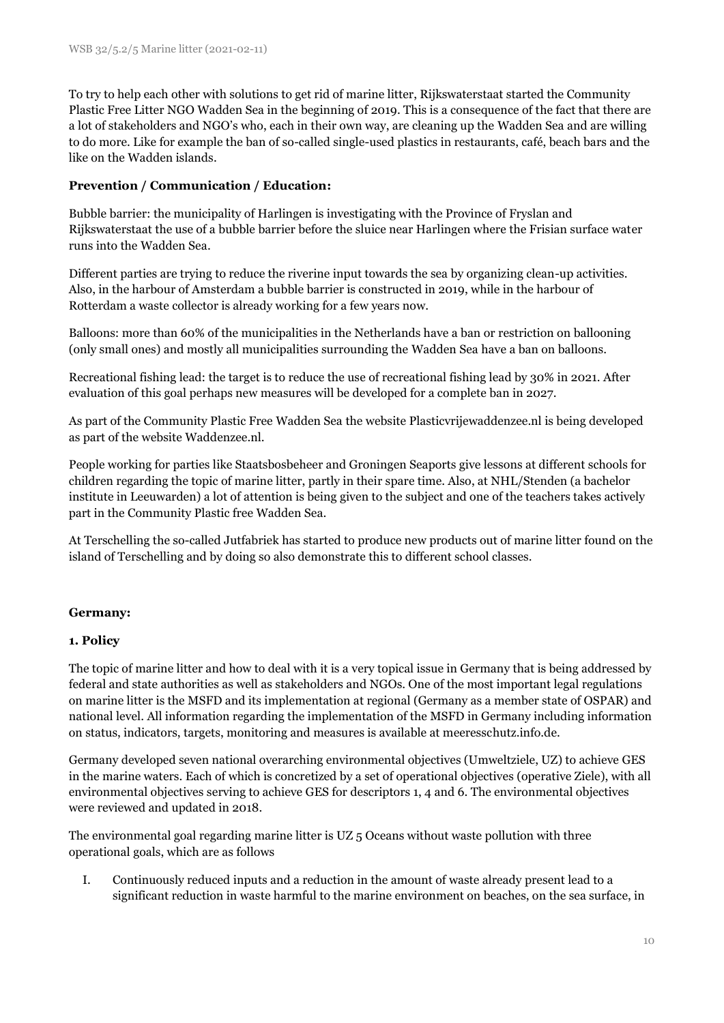To try to help each other with solutions to get rid of marine litter, Rijkswaterstaat started the Community Plastic Free Litter NGO Wadden Sea in the beginning of 2019. This is a consequence of the fact that there are a lot of stakeholders and NGO's who, each in their own way, are cleaning up the Wadden Sea and are willing to do more. Like for example the ban of so-called single-used plastics in restaurants, café, beach bars and the like on the Wadden islands.

#### **Prevention / Communication / Education:**

Bubble barrier: the municipality of Harlingen is investigating with the Province of Fryslan and Rijkswaterstaat the use of a bubble barrier before the sluice near Harlingen where the Frisian surface water runs into the Wadden Sea.

Different parties are trying to reduce the riverine input towards the sea by organizing clean-up activities. Also, in the harbour of Amsterdam a bubble barrier is constructed in 2019, while in the harbour of Rotterdam a waste collector is already working for a few years now.

Balloons: more than 60% of the municipalities in the Netherlands have a ban or restriction on ballooning (only small ones) and mostly all municipalities surrounding the Wadden Sea have a ban on balloons.

Recreational fishing lead: the target is to reduce the use of recreational fishing lead by 30% in 2021. After evaluation of this goal perhaps new measures will be developed for a complete ban in 2027.

As part of the Community Plastic Free Wadden Sea the website Plasticvrijewaddenzee.nl is being developed as part of the website Waddenzee.nl.

People working for parties like Staatsbosbeheer and Groningen Seaports give lessons at different schools for children regarding the topic of marine litter, partly in their spare time. Also, at NHL/Stenden (a bachelor institute in Leeuwarden) a lot of attention is being given to the subject and one of the teachers takes actively part in the Community Plastic free Wadden Sea.

At Terschelling the so-called Jutfabriek has started to produce new products out of marine litter found on the island of Terschelling and by doing so also demonstrate this to different school classes.

#### **Germany:**

#### **1. Policy**

The topic of marine litter and how to deal with it is a very topical issue in Germany that is being addressed by federal and state authorities as well as stakeholders and NGOs. One of the most important legal regulations on marine litter is the MSFD and its implementation at regional (Germany as a member state of OSPAR) and national level. All information regarding the implementation of the MSFD in Germany including information on status, indicators, targets, monitoring and measures is available at meeresschutz.info.de.

Germany developed seven national overarching environmental objectives (Umweltziele, UZ) to achieve GES in the marine waters. Each of which is concretized by a set of operational objectives (operative Ziele), with all environmental objectives serving to achieve GES for descriptors 1, 4 and 6. The environmental objectives were reviewed and updated in 2018.

The environmental goal regarding marine litter is UZ 5 Oceans without waste pollution with three operational goals, which are as follows

I. Continuously reduced inputs and a reduction in the amount of waste already present lead to a significant reduction in waste harmful to the marine environment on beaches, on the sea surface, in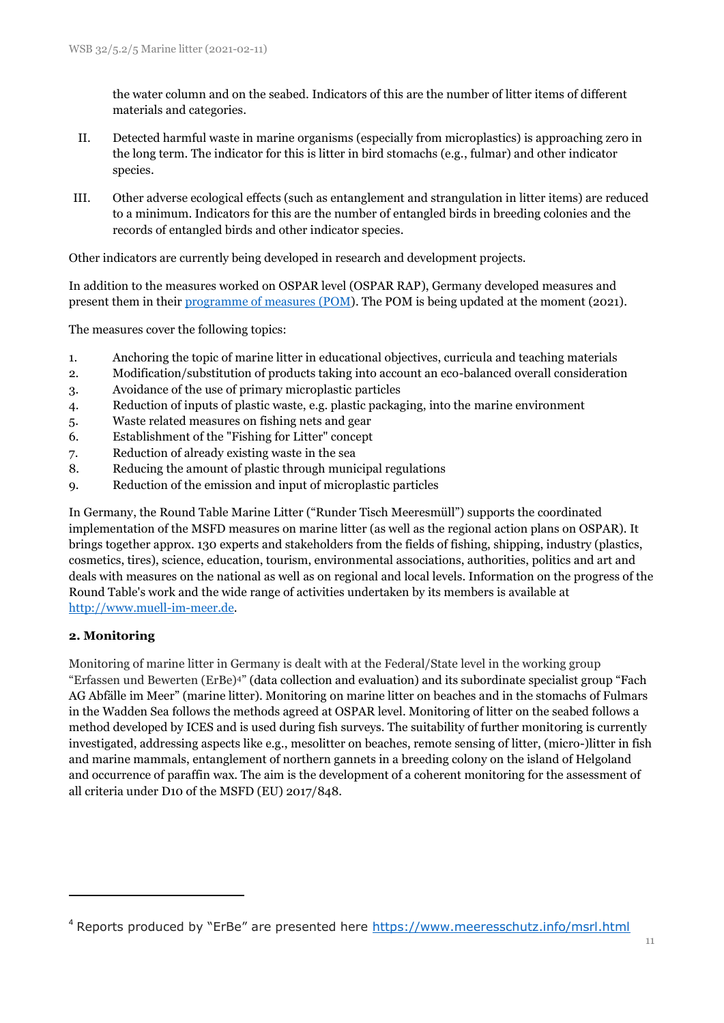the water column and on the seabed. Indicators of this are the number of litter items of different materials and categories.

- II. Detected harmful waste in marine organisms (especially from microplastics) is approaching zero in the long term. The indicator for this is litter in bird stomachs (e.g., fulmar) and other indicator species.
- III. Other adverse ecological effects (such as entanglement and strangulation in litter items) are reduced to a minimum. Indicators for this are the number of entangled birds in breeding colonies and the records of entangled birds and other indicator species.

Other indicators are currently being developed in research and development projects.

In addition to the measures worked on OSPAR level (OSPAR RAP), Germany developed measures and present them in their [programme of measures \(POM\)](https://www.meeresschutz.info/berichte-art13.html). The POM is being updated at the moment (2021).

The measures cover the following topics:

- 1. Anchoring the topic of marine litter in educational objectives, curricula and teaching materials
- 2. Modification/substitution of products taking into account an eco-balanced overall consideration
- 3. Avoidance of the use of primary microplastic particles
- 4. Reduction of inputs of plastic waste, e.g. plastic packaging, into the marine environment
- 5. Waste related measures on fishing nets and gear
- 6. Establishment of the "Fishing for Litter" concept
- 7. Reduction of already existing waste in the sea
- 8. Reducing the amount of plastic through municipal regulations
- 9. Reduction of the emission and input of microplastic particles

In Germany, the Round Table Marine Litter ("Runder Tisch Meeresmüll") supports the coordinated implementation of the MSFD measures on marine litter (as well as the regional action plans on OSPAR). It brings together approx. 130 experts and stakeholders from the fields of fishing, shipping, industry (plastics, cosmetics, tires), science, education, tourism, environmental associations, authorities, politics and art and deals with measures on the national as well as on regional and local levels. Information on the progress of the Round Table's work and the wide range of activities undertaken by its members is available at [http://www.muell-im-meer.de.](http://www.muell-im-meer.de/)

#### **2. Monitoring**

<u>.</u>

Monitoring of marine litter in Germany is dealt with at the Federal/State level in the working group "Erfassen und Bewerten (ErBe)4" (data collection and evaluation) and its subordinate specialist group "Fach AG Abfälle im Meer" (marine litter). Monitoring on marine litter on beaches and in the stomachs of Fulmars in the Wadden Sea follows the methods agreed at OSPAR level. Monitoring of litter on the seabed follows a method developed by ICES and is used during fish surveys. The suitability of further monitoring is currently investigated, addressing aspects like e.g., mesolitter on beaches, remote sensing of litter, (micro-)litter in fish and marine mammals, entanglement of northern gannets in a breeding colony on the island of Helgoland and occurrence of paraffin wax. The aim is the development of a coherent monitoring for the assessment of all criteria under D10 of the MSFD (EU) 2017/848.

<sup>&</sup>lt;sup>4</sup> Reports produced by "ErBe" are presented here <https://www.meeresschutz.info/msrl.html>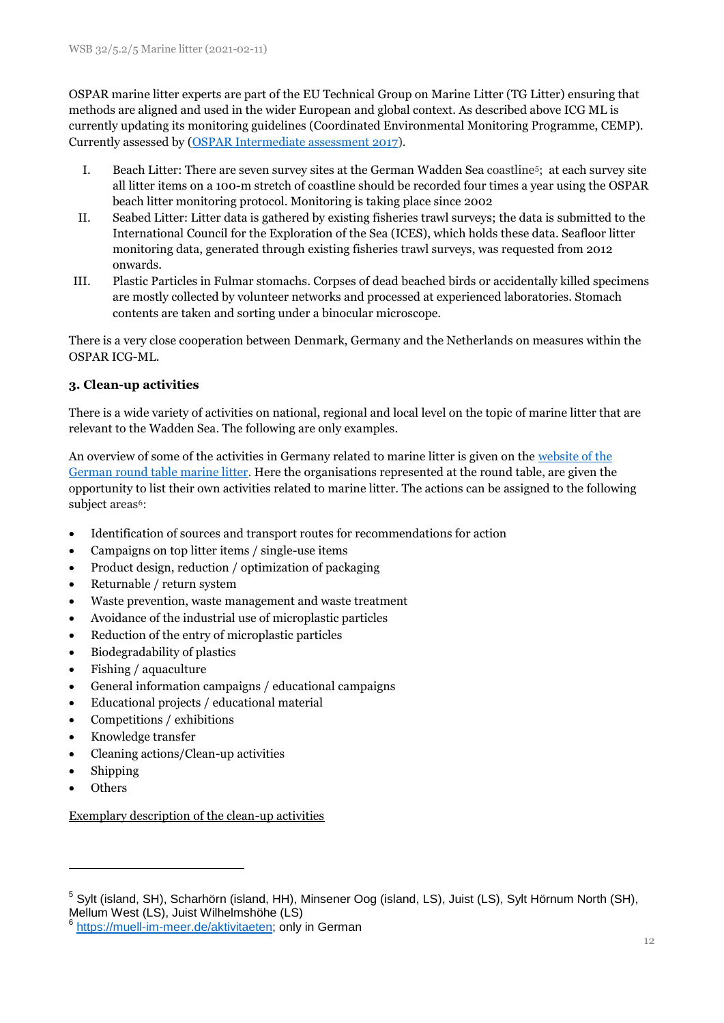OSPAR marine litter experts are part of the EU Technical Group on Marine Litter (TG Litter) ensuring that methods are aligned and used in the wider European and global context. As described above ICG ML is currently updating its monitoring guidelines (Coordinated Environmental Monitoring Programme, CEMP). Currently assessed by [\(OSPAR Intermediate assessment 2017\)](https://oap.ospar.org/en/ospar-assessments/intermediate-assessment-2017/pressures-human-activities/marine-litter/).

- I. Beach Litter: There are seven survey sites at the German Wadden Sea coastline5; at each survey site all litter items on a 100-m stretch of coastline should be recorded four times a year using the OSPAR beach litter monitoring protocol. Monitoring is taking place since 2002
- II. Seabed Litter: Litter data is gathered by existing fisheries trawl surveys; the data is submitted to the International Council for the Exploration of the Sea (ICES), which holds these data. Seafloor litter monitoring data, generated through existing fisheries trawl surveys, was requested from 2012 onwards.
- III. Plastic Particles in Fulmar stomachs. Corpses of dead beached birds or accidentally killed specimens are mostly collected by volunteer networks and processed at experienced laboratories. Stomach contents are taken and sorting under a binocular microscope.

There is a very close cooperation between Denmark, Germany and the Netherlands on measures within the OSPAR ICG-ML.

#### **3. Clean-up activities**

There is a wide variety of activities on national, regional and local level on the topic of marine litter that are relevant to the Wadden Sea. The following are only examples.

An overview of some of the activities in Germany related to marine litter is given on the [website of the](https://muell-im-meer.de/aktivitaeten)  [German round table marine litter.](https://muell-im-meer.de/aktivitaeten) Here the organisations represented at the round table, are given the opportunity to list their own activities related to marine litter. The actions can be assigned to the following subject areas<sup>6</sup>:

- Identification of sources and transport routes for recommendations for action
- Campaigns on top litter items / single-use items
- Product design, reduction / optimization of packaging
- Returnable / return system
- Waste prevention, waste management and waste treatment
- Avoidance of the industrial use of microplastic particles
- Reduction of the entry of microplastic particles
- Biodegradability of plastics
- Fishing / aquaculture
- General information campaigns / educational campaigns
- Educational projects / educational material
- Competitions / exhibitions
- Knowledge transfer
- Cleaning actions/Clean-up activities
- Shipping
- **Others**

1

#### Exemplary description of the clean-up activities

<sup>&</sup>lt;sup>5</sup> Sylt (island, SH), Scharhörn (island, HH), Minsener Oog (island, LS), Juist (LS), Sylt Hörnum North (SH), Mellum West (LS), Juist Wilhelmshöhe (LS)

<sup>&</sup>lt;sup>6</sup> [https://muell-im-meer.de/aktivitaeten;](https://muell-im-meer.de/aktivitaeten) only in German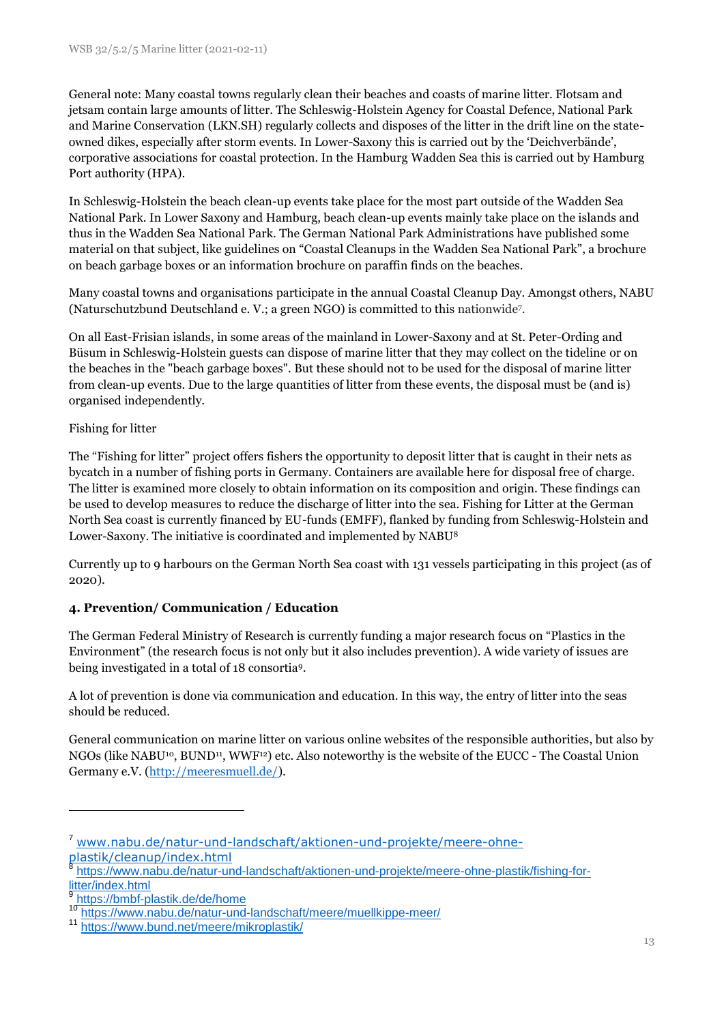General note: Many coastal towns regularly clean their beaches and coasts of marine litter. Flotsam and jetsam contain large amounts of litter. The Schleswig-Holstein Agency for Coastal Defence, National Park and Marine Conservation (LKN.SH) regularly collects and disposes of the litter in the drift line on the stateowned dikes, especially after storm events. In Lower-Saxony this is carried out by the 'Deichverbände', corporative associations for coastal protection. In the Hamburg Wadden Sea this is carried out by Hamburg Port authority (HPA).

In Schleswig-Holstein the beach clean-up events take place for the most part outside of the Wadden Sea National Park. In Lower Saxony and Hamburg, beach clean-up events mainly take place on the islands and thus in the Wadden Sea National Park. The German National Park Administrations have published some material on that subject, like guidelines on "Coastal Cleanups in the Wadden Sea National Park", a brochure on beach garbage boxes or an information brochure on paraffin finds on the beaches.

Many coastal towns and organisations participate in the annual Coastal Cleanup Day. Amongst others, NABU (Naturschutzbund Deutschland e. V.; a green NGO) is committed to this nationwide<sup>7</sup> .

On all East-Frisian islands, in some areas of the mainland in Lower-Saxony and at St. Peter-Ording and Büsum in Schleswig-Holstein guests can dispose of marine litter that they may collect on the tideline or on the beaches in the "beach garbage boxes". But these should not to be used for the disposal of marine litter from clean-up events. Due to the large quantities of litter from these events, the disposal must be (and is) organised independently.

#### Fishing for litter

The "Fishing for litter" project offers fishers the opportunity to deposit litter that is caught in their nets as bycatch in a number of fishing ports in Germany. Containers are available here for disposal free of charge. The litter is examined more closely to obtain information on its composition and origin. These findings can be used to develop measures to reduce the discharge of litter into the sea. Fishing for Litter at the German North Sea coast is currently financed by EU-funds (EMFF), flanked by funding from Schleswig-Holstein and Lower-Saxony. The initiative is coordinated and implemented by NABU<sup>8</sup>

Currently up to 9 harbours on the German North Sea coast with 131 vessels participating in this project (as of 2020).

### **4. Prevention/ Communication / Education**

The German Federal Ministry of Research is currently funding a major research focus on "Plastics in the Environment" (the research focus is not only but it also includes prevention). A wide variety of issues are being investigated in a total of 18 consortia9.

A lot of prevention is done via communication and education. In this way, the entry of litter into the seas should be reduced.

General communication on marine litter on various online websites of the responsible authorities, but also by NGOs (like NABU<sup>10</sup>, BUND<sup>11</sup>, WWF<sup>12</sup>) etc. Also noteworthy is the website of the EUCC - The Coastal Union Germany e.V. [\(http://meeresmuell.de/\)](http://meeresmuell.de/).

<u>.</u>

<sup>7</sup> [www.nabu.de/natur-und-landschaft/aktionen-und-projekte/meere-ohne](http://www.nabu.de/natur-und-landschaft/aktionen-und-projekte/meere-ohne-plastik/cleanup/index.html)[plastik/cleanup/index.html](http://www.nabu.de/natur-und-landschaft/aktionen-und-projekte/meere-ohne-plastik/cleanup/index.html)<br>8 https://www.pobu.do/potur.ur

[https://www.nabu.de/natur-und-landschaft/aktionen-und-projekte/meere-ohne-plastik/fishing-for](https://www.nabu.de/natur-und-landschaft/aktionen-und-projekte/meere-ohne-plastik/fishing-for-litter/index.html)[litter/index.html](https://www.nabu.de/natur-und-landschaft/aktionen-und-projekte/meere-ohne-plastik/fishing-for-litter/index.html)

<sup>&</sup>lt;sup>9</sup> <https://bmbf-plastik.de/de/home>

<sup>10</sup> <https://www.nabu.de/natur-und-landschaft/meere/muellkippe-meer/>

<sup>11</sup> <https://www.bund.net/meere/mikroplastik/>